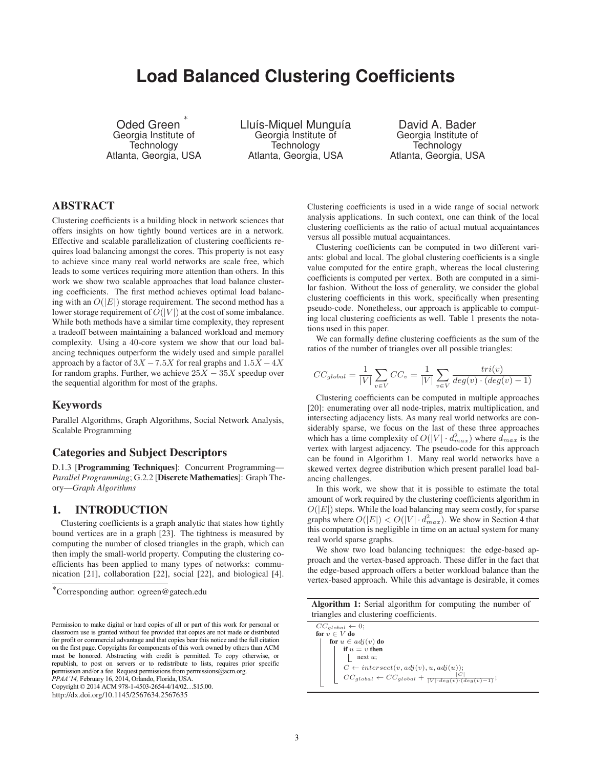# **Load Balanced Clustering Coefficients**

Oded Green Georgia Institute of **Technology** Atlanta, Georgia, USA

Lluís-Miquel Munguía Georgia Institute of **Technology** Atlanta, Georgia, USA

David A. Bader Georgia Institute of Technology Atlanta, Georgia, USA

## ABSTRACT

Clustering coefficients is a building block in network sciences that offers insights on how tightly bound vertices are in a network. Effective and scalable parallelization of clustering coefficients requires load balancing amongst the cores. This property is not easy to achieve since many real world networks are scale free, which leads to some vertices requiring more attention than others. In this work we show two scalable approaches that load balance clustering coefficients. The first method achieves optimal load balancing with an  $O(|E|)$  storage requirement. The second method has a lower storage requirement of  $O(|V|)$  at the cost of some imbalance. While both methods have a similar time complexity, they represent a tradeoff between maintaining a balanced workload and memory complexity. Using a 40-core system we show that our load balancing techniques outperform the widely used and simple parallel approach by a factor of  $3X - 7.5X$  for real graphs and  $1.5X - 4X$ for random graphs. Further, we achieve  $25X - 35X$  speedup over the sequential algorithm for most of the graphs.

### Keywords

Parallel Algorithms, Graph Algorithms, Social Network Analysis, Scalable Programming

#### Categories and Subject Descriptors

D.1.3 [Programming Techniques]: Concurrent Programming— *Parallel Programming*; G.2.2 [Discrete Mathematics]: Graph Theory—*Graph Algorithms*

## 1. INTRODUCTION

Clustering coefficients is a graph analytic that states how tightly bound vertices are in a graph [23]. The tightness is measured by computing the number of closed triangles in the graph, which can then imply the small-world property. Computing the clustering coefficients has been applied to many types of networks: communication [21], collaboration [22], social [22], and biological [4].

*PPAA'14,* February 16, 2014, Orlando, Florida, USA.

Copyright © 2014 ACM 978-1-4503-2654-4/14/02…\$15.00.

http://dx.doi.org/10.1145/2567634.2567635

Clustering coefficients is used in a wide range of social network analysis applications. In such context, one can think of the local clustering coefficients as the ratio of actual mutual acquaintances versus all possible mutual acquaintances.

Clustering coefficients can be computed in two different variants: global and local. The global clustering coefficients is a single value computed for the entire graph, whereas the local clustering coefficients is computed per vertex. Both are computed in a similar fashion. Without the loss of generality, we consider the global clustering coefficients in this work, specifically when presenting pseudo-code. Nonetheless, our approach is applicable to computing local clustering coefficients as well. Table 1 presents the notations used in this paper.

We can formally define clustering coefficients as the sum of the ratios of the number of triangles over all possible triangles:

$$
CC_{global} = \frac{1}{|V|} \sum_{v \in V} CC_v = \frac{1}{|V|} \sum_{v \in V} \frac{tri(v)}{deg(v) \cdot (deg(v) - 1)}
$$

Clustering coefficients can be computed in multiple approaches [20]: enumerating over all node-triples, matrix multiplication, and intersecting adjacency lists. As many real world networks are considerably sparse, we focus on the last of these three approaches which has a time complexity of  $O(|V| \cdot d_{max}^2)$  where  $d_{max}$  is the vertex with largest adjacency. The pseudo-code for this approach can be found in Algorithm 1. Many real world networks have a skewed vertex degree distribution which present parallel load balancing challenges.

In this work, we show that it is possible to estimate the total amount of work required by the clustering coefficients algorithm in  $O(|E|)$  steps. While the load balancing may seem costly, for sparse graphs where  $O(|E|) < O(|V| \cdot d_{max}^2)$ . We show in Section 4 that this computation is negligible in time on an actual system for many real world sparse graphs.

We show two load balancing techniques: the edge-based approach and the vertex-based approach. These differ in the fact that the edge-based approach offers a better workload balance than the vertex-based approach. While this advantage is desirable, it comes

| <b>Algorithm 1:</b> Serial algorithm for computing the number of |  |  |  |  |
|------------------------------------------------------------------|--|--|--|--|
| triangles and clustering coefficients.                           |  |  |  |  |

 $CC_{global} \leftarrow 0;$ <br>for  $v \in V$  do for  $u \in adj(v)$  do if  $u = v$  then next *u*;  $C \leftarrow intersect(v, adj(v), u, adj(u));$  $CC_{global} \leftarrow CC_{global} + \frac{|C|}{|V| \cdot deg(v) \cdot (deg(v) - 1)}$ ;

<sup>∗</sup>Corresponding author: ogreen@gatech.edu

Permission to make digital or hard copies of all or part of this work for personal or classroom use is granted without fee provided that copies are not made or distributed for profit or commercial advantage and that copies bear this notice and the full citation on the first page. Copyrights for components of this work owned by others than ACM must be honored. Abstracting with credit is permitted. To copy otherwise, or republish, to post on servers or to redistribute to lists, requires prior specific permission and/or a fee. Request permissions from permissions@acm.org.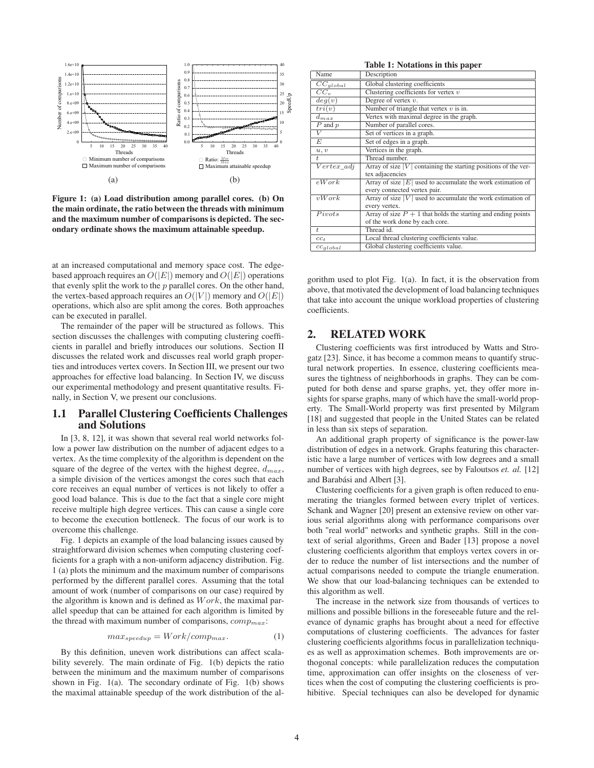

Figure 1: (a) Load distribution among parallel cores. (b) On the main ordinate, the ratio between the threads with minimum and the maximum number of comparisons is depicted. The secondary ordinate shows the maximum attainable speedup.

at an increased computational and memory space cost. The edgebased approach requires an  $O(|E|)$  memory and  $O(|E|)$  operations that evenly split the work to the  $p$  parallel cores. On the other hand, the vertex-based approach requires an  $O(|V|)$  memory and  $O(|E|)$ operations, which also are split among the cores. Both approaches can be executed in parallel.

The remainder of the paper will be structured as follows. This section discusses the challenges with computing clustering coefficients in parallel and briefly introduces our solutions. Section II discusses the related work and discusses real world graph properties and introduces vertex covers. In Section III, we present our two approaches for effective load balancing. In Section IV, we discuss our experimental methodology and present quantitative results. Finally, in Section V, we present our conclusions.

#### 1.1 Parallel Clustering Coefficients Challenges and Solutions

In [3, 8, 12], it was shown that several real world networks follow a power law distribution on the number of adjacent edges to a vertex. As the time complexity of the algorithm is dependent on the square of the degree of the vertex with the highest degree, d*max*, a simple division of the vertices amongst the cores such that each core receives an equal number of vertices is not likely to offer a good load balance. This is due to the fact that a single core might receive multiple high degree vertices. This can cause a single core to become the execution bottleneck. The focus of our work is to overcome this challenge.

Fig. 1 depicts an example of the load balancing issues caused by straightforward division schemes when computing clustering coefficients for a graph with a non-uniform adjacency distribution. Fig. 1 (a) plots the minimum and the maximum number of comparisons performed by the different parallel cores. Assuming that the total amount of work (number of comparisons on our case) required by the algorithm is known and is defined as  $Work$ , the maximal parallel speedup that can be attained for each algorithm is limited by the thread with maximum number of comparisons, comp*max*:

$$
max_{speedup} = Work/comp_{max}.
$$
 (1)

By this definition, uneven work distributions can affect scalability severely. The main ordinate of Fig. 1(b) depicts the ratio between the minimum and the maximum number of comparisons shown in Fig. 1(a). The secondary ordinate of Fig. 1(b) shows the maximal attainable speedup of the work distribution of the al-

Table 1: Notations in this paper Name Bescription<br>
<u>CC<sub>global</sub></u> Global clustering  $\frac{CC_{global}}{CC_{v}}$  Global clustering coefficients  $\frac{CC_{v}}{CC_{v}}$  $\overline{CC}_v$  Clustering coefficients for vertex *v*<br>  $\overline{de}(u)$  Degree of vertex *v*. Degree of vertex *v*. *tri*(*v*) Number of triangle that vertex *v* is in.  $\frac{d_{max}}{P}$  Vertex with maximal degree in the graph.<br>*P* and *p* Number of parallel cores. *P* and *p* Number of parallel cores. *V* Set of vertices in a graph.<br>*E* Set of edges in a graph. Set of edges in a graph. *u, v* Vertices in the graph.  $t$  Thread number.<br>*Vertex\_adj* Array of size |V Array of size  $|V|$  containing the starting positions of the vertex adjacencies  $eWork$  Array of size  $|E|$  used to accumulate the work estimation of every connected vertex pair.  $\overline{vW}$  *vW ork* Array of size |*V* | used to accumulate the work estimation of every vertex.<br>Array of size P *Pivots* Array of size  $P + 1$  that holds the starting and ending points of the work done by each core. *t* Thread id. *cc<sub>t</sub>* Local thread clustering coefficients value. *cc<sub>qlobal</sub>* Global clustering coefficients value.

gorithm used to plot Fig. 1(a). In fact, it is the observation from above, that motivated the development of load balancing techniques that take into account the unique workload properties of clustering coefficients.

### 2. RELATED WORK

Clustering coefficients was first introduced by Watts and Strogatz [23]. Since, it has become a common means to quantify structural network properties. In essence, clustering coefficients measures the tightness of neighborhoods in graphs. They can be computed for both dense and sparse graphs, yet, they offer more insights for sparse graphs, many of which have the small-world property. The Small-World property was first presented by Milgram [18] and suggested that people in the United States can be related in less than six steps of separation.

An additional graph property of significance is the power-law distribution of edges in a network. Graphs featuring this characteristic have a large number of vertices with low degrees and a small number of vertices with high degrees, see by Faloutsos *et. al.* [12] and Barabási and Albert [3].

Clustering coefficients for a given graph is often reduced to enumerating the triangles formed between every triplet of vertices. Schank and Wagner [20] present an extensive review on other various serial algorithms along with performance comparisons over both "real world" networks and synthetic graphs. Still in the context of serial algorithms, Green and Bader [13] propose a novel clustering coefficients algorithm that employs vertex covers in order to reduce the number of list intersections and the number of actual comparisons needed to compute the triangle enumeration. We show that our load-balancing techniques can be extended to this algorithm as well.

The increase in the network size from thousands of vertices to millions and possible billions in the foreseeable future and the relevance of dynamic graphs has brought about a need for effective computations of clustering coefficients. The advances for faster clustering coefficients algorithms focus in parallelization techniques as well as approximation schemes. Both improvements are orthogonal concepts: while parallelization reduces the computation time, approximation can offer insights on the closeness of vertices when the cost of computing the clustering coefficients is prohibitive. Special techniques can also be developed for dynamic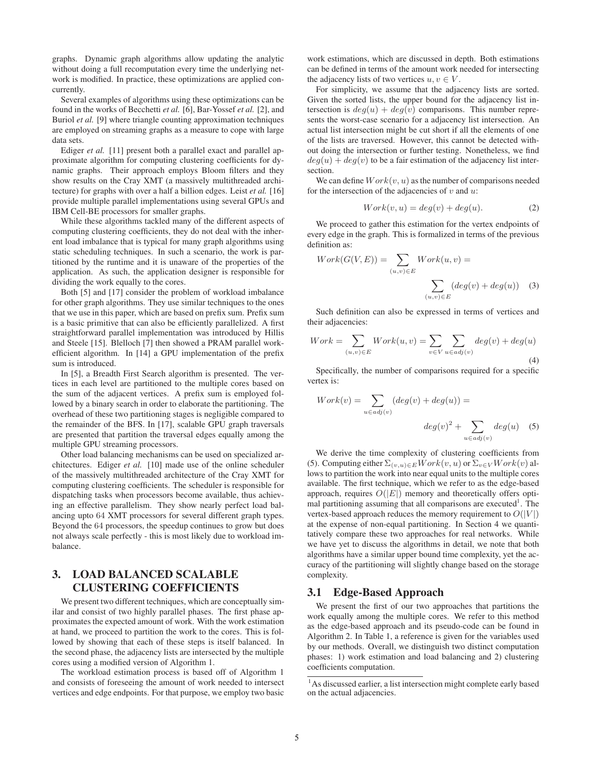graphs. Dynamic graph algorithms allow updating the analytic without doing a full recomputation every time the underlying network is modified. In practice, these optimizations are applied concurrently.

Several examples of algorithms using these optimizations can be found in the works of Becchetti *et al.* [6], Bar-Yossef *et al.* [2], and Buriol *et al.* [9] where triangle counting approximation techniques are employed on streaming graphs as a measure to cope with large data sets.

Ediger *et al.* [11] present both a parallel exact and parallel approximate algorithm for computing clustering coefficients for dynamic graphs. Their approach employs Bloom filters and they show results on the Cray XMT (a massively multithreaded architecture) for graphs with over a half a billion edges. Leist *et al.* [16] provide multiple parallel implementations using several GPUs and IBM Cell-BE processors for smaller graphs.

While these algorithms tackled many of the different aspects of computing clustering coefficients, they do not deal with the inherent load imbalance that is typical for many graph algorithms using static scheduling techniques. In such a scenario, the work is partitioned by the runtime and it is unaware of the properties of the application. As such, the application designer is responsible for dividing the work equally to the cores.

Both [5] and [17] consider the problem of workload imbalance for other graph algorithms. They use similar techniques to the ones that we use in this paper, which are based on prefix sum. Prefix sum is a basic primitive that can also be efficiently parallelized. A first straightforward parallel implementation was introduced by Hillis and Steele [15]. Blelloch [7] then showed a PRAM parallel workefficient algorithm. In [14] a GPU implementation of the prefix sum is introduced.

In [5], a Breadth First Search algorithm is presented. The vertices in each level are partitioned to the multiple cores based on the sum of the adjacent vertices. A prefix sum is employed followed by a binary search in order to elaborate the partitioning. The overhead of these two partitioning stages is negligible compared to the remainder of the BFS. In [17], scalable GPU graph traversals are presented that partition the traversal edges equally among the multiple GPU streaming processors.

Other load balancing mechanisms can be used on specialized architectures. Ediger *et al.* [10] made use of the online scheduler of the massively multithreaded architecture of the Cray XMT for computing clustering coefficients. The scheduler is responsible for dispatching tasks when processors become available, thus achieving an effective parallelism. They show nearly perfect load balancing upto 64 XMT processors for several different graph types. Beyond the 64 processors, the speedup continues to grow but does not always scale perfectly - this is most likely due to workload imbalance.

## 3. LOAD BALANCED SCALABLE CLUSTERING COEFFICIENTS

We present two different techniques, which are conceptually similar and consist of two highly parallel phases. The first phase approximates the expected amount of work. With the work estimation at hand, we proceed to partition the work to the cores. This is followed by showing that each of these steps is itself balanced. In the second phase, the adjacency lists are intersected by the multiple cores using a modified version of Algorithm 1.

The workload estimation process is based off of Algorithm 1 and consists of foreseeing the amount of work needed to intersect vertices and edge endpoints. For that purpose, we employ two basic

work estimations, which are discussed in depth. Both estimations can be defined in terms of the amount work needed for intersecting the adjacency lists of two vertices  $u, v \in V$ .

For simplicity, we assume that the adjacency lists are sorted. Given the sorted lists, the upper bound for the adjacency list intersection is  $deg(u) + deg(v)$  comparisons. This number represents the worst-case scenario for a adjacency list intersection. An actual list intersection might be cut short if all the elements of one of the lists are traversed. However, this cannot be detected without doing the intersection or further testing. Nonetheless, we find  $deg(u) + deg(v)$  to be a fair estimation of the adjacency list intersection.

We can define  $Work(v, u)$  as the number of comparisons needed for the intersection of the adjacencies of  $v$  and  $u$ :

$$
Work(v, u) = deg(v) + deg(u).
$$
 (2)

We proceed to gather this estimation for the vertex endpoints of every edge in the graph. This is formalized in terms of the previous definition as:

$$
Work(G(V, E)) = \sum_{(u,v)\in E} Work(u, v) = \sum_{(u,v)\in E} (deg(v) + deg(u)) \quad (3)
$$

Such definition can also be expressed in terms of vertices and their adjacencies:

$$
Work = \sum_{(u,v)\in E} Work(u,v) = \sum_{v\in V} \sum_{u\in adj(v)} deg(v) + deg(u)
$$
\n(4)

Specifically, the number of comparisons required for a specific vertex is:

$$
Work(v) = \sum_{u \in adj(v)} (deg(v) + deg(u)) =
$$

$$
deg(v)^{2} + \sum_{u \in adj(v)} deg(u) \quad (5)
$$

We derive the time complexity of clustering coefficients from (5). Computing either  $\Sigma_{(v,u)\in E} Work(v, u)$  or  $\Sigma_{v\in V} Work(v)$  allows to partition the work into near equal units to the multiple cores available. The first technique, which we refer to as the edge-based approach, requires  $O(|E|)$  memory and theoretically offers optimal partitioning assuming that all comparisons are executed<sup>1</sup>. The vertex-based approach reduces the memory requirement to  $O(|V|)$ at the expense of non-equal partitioning. In Section 4 we quantitatively compare these two approaches for real networks. While we have yet to discuss the algorithms in detail, we note that both algorithms have a similar upper bound time complexity, yet the accuracy of the partitioning will slightly change based on the storage complexity.

#### 3.1 Edge-Based Approach

We present the first of our two approaches that partitions the work equally among the multiple cores. We refer to this method as the edge-based approach and its pseudo-code can be found in Algorithm 2. In Table 1, a reference is given for the variables used by our methods. Overall, we distinguish two distinct computation phases: 1) work estimation and load balancing and 2) clustering coefficients computation.

<sup>&</sup>lt;sup>1</sup>As discussed earlier, a list intersection might complete early based on the actual adjacencies.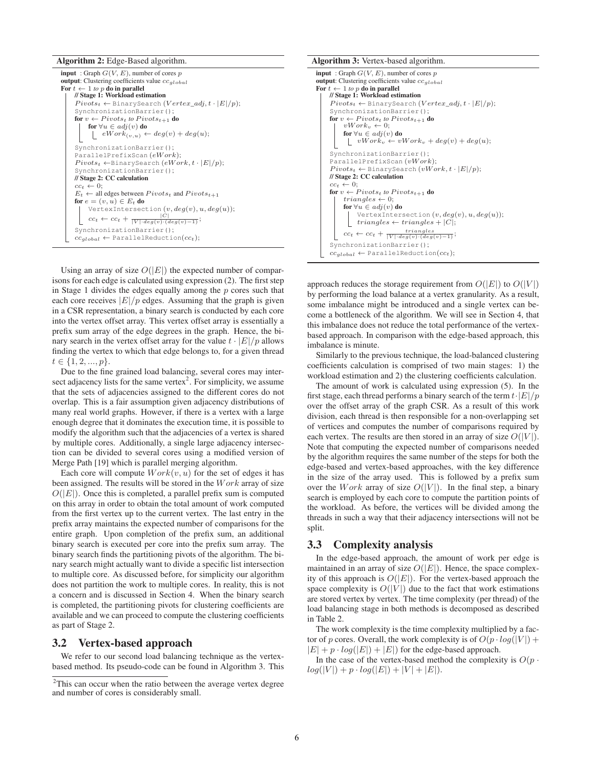Algorithm 2: Edge-Based algorithm.

| <b>input</b> : Graph $G(V, E)$ , number of cores p                        |
|---------------------------------------------------------------------------|
| <b>output</b> : Clustering coefficients value $cc_{alobel}$               |
| For $t \leftarrow 1$ to p do in parallel                                  |
| // Stage 1: Workload estimation                                           |
| $Pivots_t \leftarrow$ BinarySearch ( $Vertex\_adj, t \cdot  E /p$ );      |
| SynchronizationBarrier();                                                 |
| for $v \leftarrow Pivots_t$ to $Pivots_{t+1}$ do                          |
| for $\forall u \in adj(v)$ do                                             |
| $eWork_{(v,u)} \leftarrow deg(v) + deg(u);$                               |
| SynchronizationBarrier();                                                 |
| ParallelPrefixScan $(eWork);$                                             |
| $Pivots_t \leftarrow$ BinarySearch $(eWork, t \cdot  E /p);$              |
| SynchronizationBarrier();                                                 |
| // Stage 2: CC calculation                                                |
| $cc_t \leftarrow 0$                                                       |
| $E_t \leftarrow$ all edges between $Pivots_t$ and $Pivots_{t+1}$          |
| for $e = (v, u) \in E_t$ do                                               |
| VertexIntersection $(v, deg(v), u, deg(u));$                              |
| $cc_t \leftarrow cc_t + \frac{ C }{ V  \cdot deg(v) \cdot (deg(v) - 1)};$ |
| SynchronizationBarrier();                                                 |
| $cc_{alobal} \leftarrow$ Parallel Reduction( $cc_t$ );                    |

Using an array of size  $O(|E|)$  the expected number of comparisons for each edge is calculated using expression (2). The first step in Stage 1 divides the edges equally among the  $p$  cores such that each core receives  $|E|/p$  edges. Assuming that the graph is given in a CSR representation, a binary search is conducted by each core into the vertex offset array. This vertex offset array is essentially a prefix sum array of the edge degrees in the graph. Hence, the binary search in the vertex offset array for the value  $t \cdot |E|/p$  allows finding the vertex to which that edge belongs to, for a given thread  $t \in \{1, 2, ..., p\}.$ 

Due to the fine grained load balancing, several cores may intersect adjacency lists for the same vertex<sup>2</sup>. For simplicity, we assume that the sets of adjacencies assigned to the different cores do not overlap. This is a fair assumption given adjacency distributions of many real world graphs. However, if there is a vertex with a large enough degree that it dominates the execution time, it is possible to modify the algorithm such that the adjacencies of a vertex is shared by multiple cores. Additionally, a single large adjacency intersection can be divided to several cores using a modified version of Merge Path [19] which is parallel merging algorithm.

Each core will compute  $Work(v, u)$  for the set of edges it has been assigned. The results will be stored in the  $Work$  array of size  $O(|E|)$ . Once this is completed, a parallel prefix sum is computed on this array in order to obtain the total amount of work computed from the first vertex up to the current vertex. The last entry in the prefix array maintains the expected number of comparisons for the entire graph. Upon completion of the prefix sum, an additional binary search is executed per core into the prefix sum array. The binary search finds the partitioning pivots of the algorithm. The binary search might actually want to divide a specific list intersection to multiple core. As discussed before, for simplicity our algorithm does not partition the work to multiple cores. In reality, this is not a concern and is discussed in Section 4. When the binary search is completed, the partitioning pivots for clustering coefficients are available and we can proceed to compute the clustering coefficients as part of Stage 2.

#### 3.2 Vertex-based approach

We refer to our second load balancing technique as the vertexbased method. Its pseudo-code can be found in Algorithm 3. This

#### Algorithm 3: Vertex-based algorithm.

```
input : Graph G(V,E), number of cores p
output: Clustering coefficients value ccglobal
For t \leftarrow 1 to p do in parallel<br>| // Stage 1: Workload estimation
     Pivots_t \leftarrow \text{BinarySearch}(Vertex\_adj, t \cdot |E|/p);SynchronizationBarrier();
     for v \leftarrow Pivots_t to Pivots_{t+1} do vWork_v \leftarrow 0;for \forall u \in adj(v) do
            \overline{\bigcup_{v} vW} vWork<sub>v</sub> + deg(v) + deg(u);
     SynchronizationBarrier();
     ParallelPrefixScan (vW ork);
     Pivots_t \leftarrow BinarySearch (vWork, t \cdot |E|/p);// Stage 2: CC calculation
     cc_t \leftarrow 0;
     for v \leftarrow Pivots_t to Pivots_{t+1} do
          triangles \leftarrow 0;for \forall u \in adj(v) do
                VertexIntersection (v, deg(v), u, deg(u));
                triangles \leftarrow triangles + |C|;cc_t \leftarrow cc_t + \frac{triangle}{|V| \cdot deg(v) \cdot (deg(v) - 1)};
     SynchronizationBarrier();
     cc_{global} \leftarrow ParallelReduction(cc_t);
```
approach reduces the storage requirement from  $O(|E|)$  to  $O(|V|)$ by performing the load balance at a vertex granularity. As a result, some imbalance might be introduced and a single vertex can become a bottleneck of the algorithm. We will see in Section 4, that this imbalance does not reduce the total performance of the vertexbased approach. In comparison with the edge-based approach, this imbalance is minute.

Similarly to the previous technique, the load-balanced clustering coefficients calculation is comprised of two main stages: 1) the workload estimation and 2) the clustering coefficients calculation.

The amount of work is calculated using expression (5). In the first stage, each thread performs a binary search of the term  $t \cdot |E|/p$ over the offset array of the graph CSR. As a result of this work division, each thread is then responsible for a non-overlapping set of vertices and computes the number of comparisons required by each vertex. The results are then stored in an array of size  $O(|V|)$ . Note that computing the expected number of comparisons needed by the algorithm requires the same number of the steps for both the edge-based and vertex-based approaches, with the key difference in the size of the array used. This is followed by a prefix sum over the Work array of size  $O(|V|)$ . In the final step, a binary search is employed by each core to compute the partition points of the workload. As before, the vertices will be divided among the threads in such a way that their adjacency intersections will not be split.

#### 3.3 Complexity analysis

In the edge-based approach, the amount of work per edge is maintained in an array of size  $O(|E|)$ . Hence, the space complexity of this approach is  $O(|E|)$ . For the vertex-based approach the space complexity is  $O(|V|)$  due to the fact that work estimations are stored vertex by vertex. The time complexity (per thread) of the load balancing stage in both methods is decomposed as described in Table 2.

The work complexity is the time complexity multiplied by a factor of p cores. Overall, the work complexity is of  $O(p \cdot log(|V|) +$  $|E| + p \cdot log(|E|) + |E|$  for the edge-based approach.

In the case of the vertex-based method the complexity is  $O(p \cdot )$  $log(|V|) + p \cdot log(|E|) + |V| + |E|).$ 

<sup>&</sup>lt;sup>2</sup>This can occur when the ratio between the average vertex degree and number of cores is considerably small.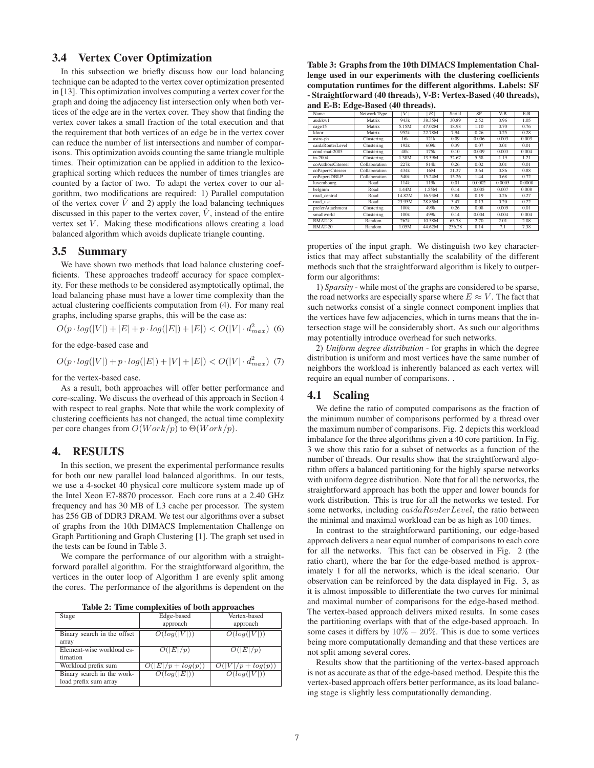#### 3.4 Vertex Cover Optimization

In this subsection we briefly discuss how our load balancing technique can be adapted to the vertex cover optimization presented in [13]. This optimization involves computing a vertex cover for the graph and doing the adjacency list intersection only when both vertices of the edge are in the vertex cover. They show that finding the vertex cover takes a small fraction of the total execution and that the requirement that both vertices of an edge be in the vertex cover can reduce the number of list intersections and number of comparisons. This optimization avoids counting the same triangle multiple times. Their optimization can be applied in addition to the lexicographical sorting which reduces the number of times triangles are counted by a factor of two. To adapt the vertex cover to our algorithm, two modifications are required: 1) Parallel computation of the vertex cover  $\hat{V}$  and 2) apply the load balancing techniques discussed in this paper to the vertex cover,  $\hat{V}$ , instead of the entire vertex set  $V$ . Making these modifications allows creating a load balanced algorithm which avoids duplicate triangle counting.

#### 3.5 Summary

We have shown two methods that load balance clustering coefficients. These approaches tradeoff accuracy for space complexity. For these methods to be considered asymptotically optimal, the load balancing phase must have a lower time complexity than the actual clustering coefficients computation from (4). For many real graphs, including sparse graphs, this will be the case as:

$$
O(p \cdot log(|V|) + |E| + p \cdot log(|E|) + |E|) < O(|V| \cdot d_{max}^2) \tag{6}
$$

for the edge-based case and

 $O(p \cdot log(|V|) + p \cdot log(|E|) + |V| + |E|) < O(|V| \cdot d_{max}^2)$  (7)

for the vertex-based case.

As a result, both approaches will offer better performance and core-scaling. We discuss the overhead of this approach in Section 4 with respect to real graphs. Note that while the work complexity of clustering coefficients has not changed, the actual time complexity per core changes from  $O(Work/p)$  to  $\Theta(Work/p)$ .

#### 4. RESULTS

In this section, we present the experimental performance results for both our new parallel load balanced algorithms. In our tests, we use a 4-socket 40 physical core multicore system made up of the Intel Xeon E7-8870 processor. Each core runs at a 2.40 GHz frequency and has 30 MB of L3 cache per processor. The system has 256 GB of DDR3 DRAM. We test our algorithms over a subset of graphs from the 10th DIMACS Implementation Challenge on Graph Partitioning and Graph Clustering [1]. The graph set used in the tests can be found in Table 3.

We compare the performance of our algorithm with a straightforward parallel algorithm. For the straightforward algorithm, the vertices in the outer loop of Algorithm 1 are evenly split among the cores. The performance of the algorithms is dependent on the

|  | Table 2: Time complexities of both approaches |  |  |  |
|--|-----------------------------------------------|--|--|--|
|--|-----------------------------------------------|--|--|--|

| Edge-based         | Vertex-based        |
|--------------------|---------------------|
| approach           | approach            |
| O(log( V ))        | O(log( V ))         |
|                    |                     |
| O( E /p)           | O( E /p)            |
|                    |                     |
| $( E /p + log(p))$ | $O( V /p + log(p))$ |
| O(log( E ))        | O(log( V ))         |
|                    |                     |
|                    |                     |

Table 3: Graphs from the 10th DIMACS Implementation Challenge used in our experiments with the clustering coefficients computation runtimes for the different algorithms. Labels: SF - Straightforward (40 threads), V-B: Vertex-Based (40 threads), and E-B: Edge-Based (40 threads).

| Name              | Network Type  | V      | E                | Serial | SF     | $V-B$  | $E-B$  |
|-------------------|---------------|--------|------------------|--------|--------|--------|--------|
| audikw1           | Matrix        | 943k   | 38.35M           | 30.89  | 2.52   | 0.96   | 1.05   |
| cage15            | Matrix        | 5.15M  | 47.02M           | 18.98  | 1.10   | 0.70   | 0.76   |
| ldoor             | Matrix        | 952k   | 22.78M           | 7.94   | 0.26   | 0.25   | 0.28   |
| astro-ph          | Clustering    | 16k    | 121k             | 0.09   | 0.006  | 0.003  | 0.003  |
| caidaRouterLevel  | Clustering    | 192k   | 609 <sub>k</sub> | 0.39   | 0.07   | 0.01   | 0.01   |
| cond-mat-2005     | Clustering    | 40k    | 175k             | 0.10   | 0.009  | 0.003  | 0.004  |
| in-2004           | Clustering    | 1.38M  | 13.59M           | 32.67  | 5.58   | 1.19   | 1.21   |
| coAuthorsCiteseer | Collaboration | 227k   | 814k             | 0.26   | 0.02   | 0.01   | 0.01   |
| coPapersCiteseer  | Collaboration | 434k   | 16M              | 21.37  | 3.64   | 0.86   | 0.88   |
| coPapersDBLP      | Collaboration | 540k   | 15.24M           | 15.26  | 1.44   | 0.68   | 0.72   |
| luxembourg        | Road          | 114k   | 119k             | 0.01   | 0.0002 | 0.0005 | 0.0008 |
| belgium           | Road          | 1.44M  | 1.55M            | 0.14   | 0.005  | 0.007  | 0.008  |
| road central      | Road          | 14.82M | 16.93M           | 3.84   | 0.19   | 0.26   | 0.27   |
| road usa          | Road          | 23.95M | 28.85M           | 3.47   | 0.13   | 0.20   | 0.22   |
| preferAttachment  | Clustering    | 100k   | 499k             | 0.26   | 0.08   | 0.009  | 0.01   |
| smallworld        | Clustering    | 100k   | 499k             | 0.14   | 0.004  | 0.004  | 0.004  |
| RMAT-18           | Random        | 262k   | 10.58M           | 63.78  | 2.70   | 2.01   | 2.08   |
| RMAT-20           | Random        | 1.05M  | 44.62M           | 236.28 | 8.14   | 7.1    | 7.38   |

properties of the input graph. We distinguish two key characteristics that may affect substantially the scalability of the different methods such that the straightforward algorithm is likely to outperform our algorithms:

1) *Sparsity* - while most of the graphs are considered to be sparse, the road networks are especially sparse where  $E \approx V$ . The fact that such networks consist of a single connect component implies that the vertices have few adjacencies, which in turns means that the intersection stage will be considerably short. As such our algorithms may potentially introduce overhead for such networks.

2) *Uniform degree distribution* - for graphs in which the degree distribution is uniform and most vertices have the same number of neighbors the workload is inherently balanced as each vertex will require an equal number of comparisons. .

#### 4.1 Scaling

We define the ratio of computed comparisons as the fraction of the minimum number of comparisons performed by a thread over the maximum number of comparisons. Fig. 2 depicts this workload imbalance for the three algorithms given a 40 core partition. In Fig. 3 we show this ratio for a subset of networks as a function of the number of threads. Our results show that the straightforward algorithm offers a balanced partitioning for the highly sparse networks with uniform degree distribution. Note that for all the networks, the straightforward approach has both the upper and lower bounds for work distribution. This is true for all the networks we tested. For some networks, including *caidaRouterLevel*, the ratio between the minimal and maximal workload can be as high as 100 times.

In contrast to the straightforward partitioning, our edge-based approach delivers a near equal number of comparisons to each core for all the networks. This fact can be observed in Fig. 2 (the ratio chart), where the bar for the edge-based method is approximately 1 for all the networks, which is the ideal scenario. Our observation can be reinforced by the data displayed in Fig. 3, as it is almost impossible to differentiate the two curves for minimal and maximal number of comparisons for the edge-based method. The vertex-based approach delivers mixed results. In some cases the partitioning overlaps with that of the edge-based approach. In some cases it differs by  $10\% - 20\%$ . This is due to some vertices being more computationally demanding and that these vertices are not split among several cores.

Results show that the partitioning of the vertex-based approach is not as accurate as that of the edge-based method. Despite this the vertex-based approach offers better performance, as its load balancing stage is slightly less computationally demanding.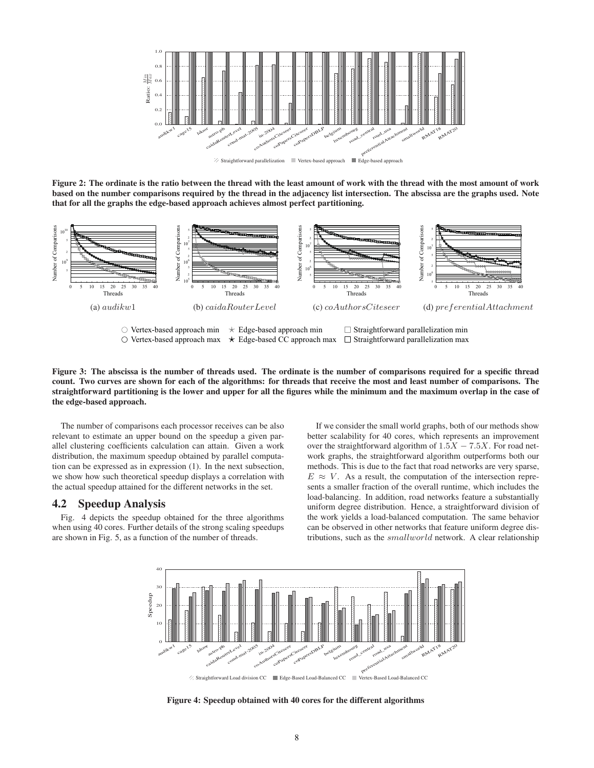

Figure 2: The ordinate is the ratio between the thread with the least amount of work with the thread with the most amount of work based on the number comparisons required by the thread in the adjacency list intersection. The abscissa are the graphs used. Note that for all the graphs the edge-based approach achieves almost perfect partitioning.



Vertex-based approach max Edge-based CC approach max Straightforward parallelization max

Figure 3: The abscissa is the number of threads used. The ordinate is the number of comparisons required for a specific thread count. Two curves are shown for each of the algorithms: for threads that receive the most and least number of comparisons. The straightforward partitioning is the lower and upper for all the figures while the minimum and the maximum overlap in the case of the edge-based approach.

The number of comparisons each processor receives can be also relevant to estimate an upper bound on the speedup a given parallel clustering coefficients calculation can attain. Given a work distribution, the maximum speedup obtained by parallel computation can be expressed as in expression (1). In the next subsection, we show how such theoretical speedup displays a correlation with the actual speedup attained for the different networks in the set.

#### 4.2 Speedup Analysis

Fig. 4 depicts the speedup obtained for the three algorithms when using 40 cores. Further details of the strong scaling speedups are shown in Fig. 5, as a function of the number of threads.

If we consider the small world graphs, both of our methods show better scalability for 40 cores, which represents an improvement over the straightforward algorithm of  $1.5X - 7.5X$ . For road network graphs, the straightforward algorithm outperforms both our methods. This is due to the fact that road networks are very sparse,  $E \approx V$ . As a result, the computation of the intersection represents a smaller fraction of the overall runtime, which includes the load-balancing. In addition, road networks feature a substantially uniform degree distribution. Hence, a straightforward division of the work yields a load-balanced computation. The same behavior can be observed in other networks that feature uniform degree distributions, such as the smallworld network. A clear relationship



Straightforward Load division CC Edge-Based Load-Balanced CC Vertex-Based Load-Balanced CC

Figure 4: Speedup obtained with 40 cores for the different algorithms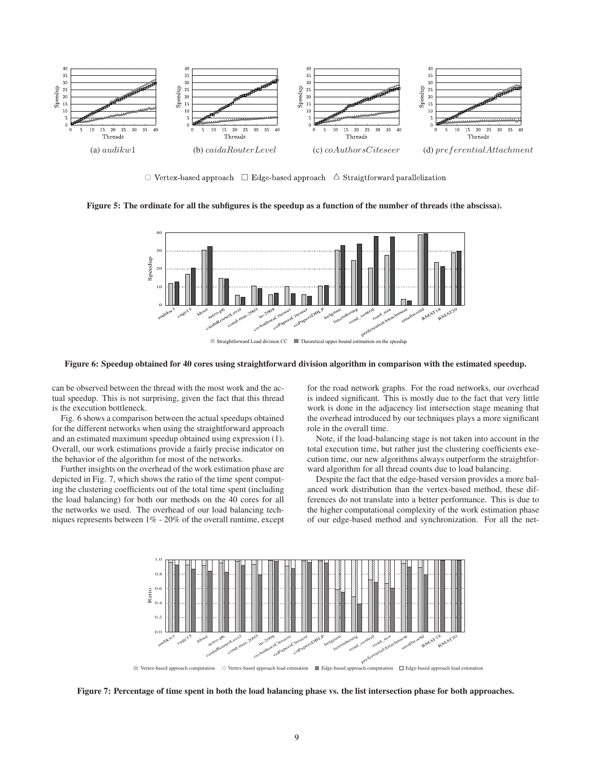

 $\circlearrowright$  Vertex-based approach  $\Box$  Edge-based approach  $\Diamond$  Straigtforward parallelization

#### Figure 5: The ordinate for all the subfigures is the speedup as a function of the number of threads (the abscissa).



#### Figure 6: Speedup obtained for 40 cores using straightforward division algorithm in comparison with the estimated speedup.

can be observed between the thread with the most work and the actual speedup. This is not surprising, given the fact that this thread is the execution bottleneck.

Fig. 6 shows a comparison between the actual speedups obtained for the different networks when using the straightforward approach and an estimated maximum speedup obtained using expression (1). Overall, our work estimations provide a fairly precise indicator on the behavior of the algorithm for most of the networks.

Further insights on the overhead of the work estimation phase are depicted in Fig. 7, which shows the ratio of the time spent computing the clustering coefficients out of the total time spent (including the load balancing) for both our methods on the 40 cores for all the networks we used. The overhead of our load balancing techniques represents between 1% - 20% of the overall runtime, except for the road network graphs. For the road networks, our overhead is indeed significant. This is mostly due to the fact that very little work is done in the adjacency list intersection stage meaning that the overhead introduced by our techniques plays a more significant role in the overall time.

Note, if the load-balancing stage is not taken into account in the total execution time, but rather just the clustering coefficients execution time, our new algorithms always outperform the straightforward algorithm for all thread counts due to load balancing.

Despite the fact that the edge-based version provides a more balanced work distribution than the vertex-based method, these differences do not translate into a better performance. This is due to the higher computational complexity of the work estimation phase of our edge-based method and synchronization. For all the net-